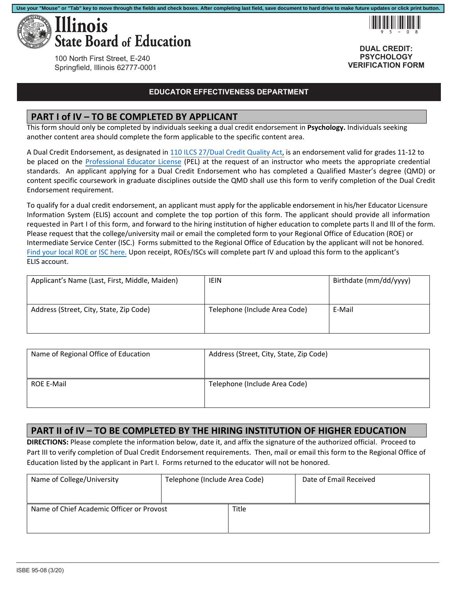

!95-08

**DUAL CREDIT: PSYCHOLOGY VERIFICATION FORM**

100 North First Street, E-240 Springfield, Illinois 62777-0001

#### **EDUCATOR EFFECTIVENESS DEPARTMENT**

#### **PART I of IV – TO BE COMPLETED BY APPLICANT**

This form should only be completed by individuals seeking a dual credit endorsement in **Psychology.** Individuals seeking another content area should complete the form applicable to the specific content area.

A Dual Credit Endorsement, as designated in [110 ILCS 27/Dual Credit Quality Act,](http://www.ilga.gov/legislation/ilcs/ilcs3.asp?ActID=3117&ChapterID=18) is an endorsement valid for grades 11‐12 to be placed on the Professional Educator License (PEL) at the request of an instructor who meets the appropriate credential standards. An applicant applying for a Dual Credit Endorsement who has completed a Qualified Master's degree (QMD) or content specific coursework in graduate disciplines outside the QMD shall use this form to verify completion of the Dual Credit Endorsement requirement.

To qualify for a dual credit endorsement, an applicant must apply for the applicable endorsement in his/her Educator Licensure Information System (ELIS) account and complete the top portion of this form. The applicant should provide all information requested in Part I of this form, and forward to the hiring institution of higher education to complete parts ll and lll of the form. Please request that the college/university mail or email the completed form to your Regional Office of Education (ROE) or Intermediate Service Center (ISC.) Forms submitted to the Regional Office of Education by the applicant will not be honored. Find your local ROE or ISC here. Upon receipt, ROEs/ISCs will complete part IV and upload this form to the applicant's ELIS account.

| Applicant's Name (Last, First, Middle, Maiden) | IEIN                          | Birthdate (mm/dd/yyyy) |
|------------------------------------------------|-------------------------------|------------------------|
| Address (Street, City, State, Zip Code)        | Telephone (Include Area Code) | E-Mail                 |

| Name of Regional Office of Education | Address (Street, City, State, Zip Code) |
|--------------------------------------|-----------------------------------------|
| <b>ROE E-Mail</b>                    | Telephone (Include Area Code)           |

### **PART II of IV – TO BE COMPLETED BY THE HIRING INSTITUTION OF HIGHER EDUCATION**

**DIRECTIONS:** Please complete the information below, date it, and affix the signature of the authorized official. Proceed to Part III to verify completion of Dual Credit Endorsement requirements. Then, mail or email this form to the Regional Office of Education listed by the applicant in Part I. Forms returned to the educator will not be honored.

| Name of College/University                | Telephone (Include Area Code) |       | Date of Email Received |
|-------------------------------------------|-------------------------------|-------|------------------------|
| Name of Chief Academic Officer or Provost |                               | Title |                        |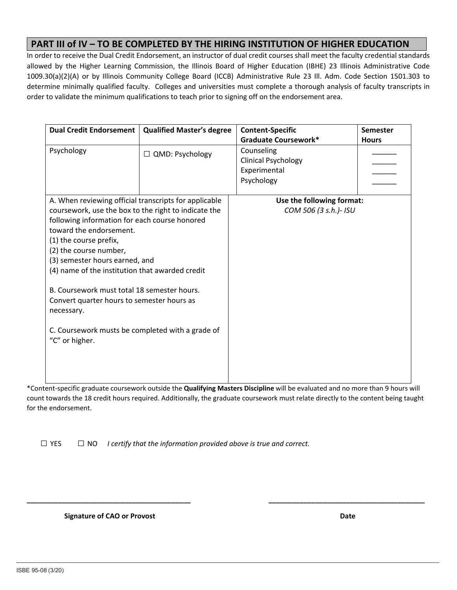## **PART III of IV – TO BE COMPLETED BY THE HIRING INSTITUTION OF HIGHER EDUCATION**

In order to receive the Dual Credit Endorsement, an instructor of dual credit courses shall meet the faculty credential standards allowed by the Higher Learning Commission, the Illinois Board of Higher Education (IBHE) 23 Illinois Administrative Code 1009.30(a)(2)(A) or by Illinois Community College Board (ICCB) Administrative Rule 23 Ill. Adm. Code Section 1501.303 to determine minimally qualified faculty. Colleges and universities must complete a thorough analysis of faculty transcripts in order to validate the minimum qualifications to teach prior to signing off on the endorsement area.

| <b>Dual Credit Endorsement</b>                                                                                                                                                                                                                                                                                                                                                                                                                             | <b>Qualified Master's degree</b> | <b>Content-Specific</b>                                                | <b>Semester</b> |
|------------------------------------------------------------------------------------------------------------------------------------------------------------------------------------------------------------------------------------------------------------------------------------------------------------------------------------------------------------------------------------------------------------------------------------------------------------|----------------------------------|------------------------------------------------------------------------|-----------------|
|                                                                                                                                                                                                                                                                                                                                                                                                                                                            |                                  | <b>Graduate Coursework*</b>                                            | <b>Hours</b>    |
| Psychology                                                                                                                                                                                                                                                                                                                                                                                                                                                 | $\Box$ QMD: Psychology           | Counseling<br><b>Clinical Psychology</b><br>Experimental<br>Psychology |                 |
| A. When reviewing official transcripts for applicable                                                                                                                                                                                                                                                                                                                                                                                                      |                                  | Use the following format:                                              |                 |
| coursework, use the box to the right to indicate the<br>following information for each course honored<br>toward the endorsement.<br>(1) the course prefix,<br>(2) the course number,<br>(3) semester hours earned, and<br>(4) name of the institution that awarded credit<br>B. Coursework must total 18 semester hours.<br>Convert quarter hours to semester hours as<br>necessary.<br>C. Coursework musts be completed with a grade of<br>"C" or higher. |                                  | COM 506 (3 s.h.)- ISU                                                  |                 |

\*Content‐specific graduate coursework outside the **Qualifying Masters Discipline** will be evaluated and no more than 9 hours will count towards the 18 credit hours required. Additionally, the graduate coursework must relate directly to the content being taught for the endorsement.

**\_\_\_\_\_\_\_\_\_\_\_\_\_\_\_\_\_\_\_\_\_\_\_\_\_\_\_\_\_\_\_\_\_\_\_\_\_\_\_\_\_\_ \_\_\_\_\_\_\_\_\_\_\_\_\_\_\_\_\_\_\_\_\_\_\_\_\_\_\_\_\_\_\_\_\_\_\_\_\_\_\_\_** 

□ YES □ NO *I certify that the information provided above is true and correct.*

 **Signature of CAO or Provost**  *<b>Date <b>Date Date <b>Date Date Date*